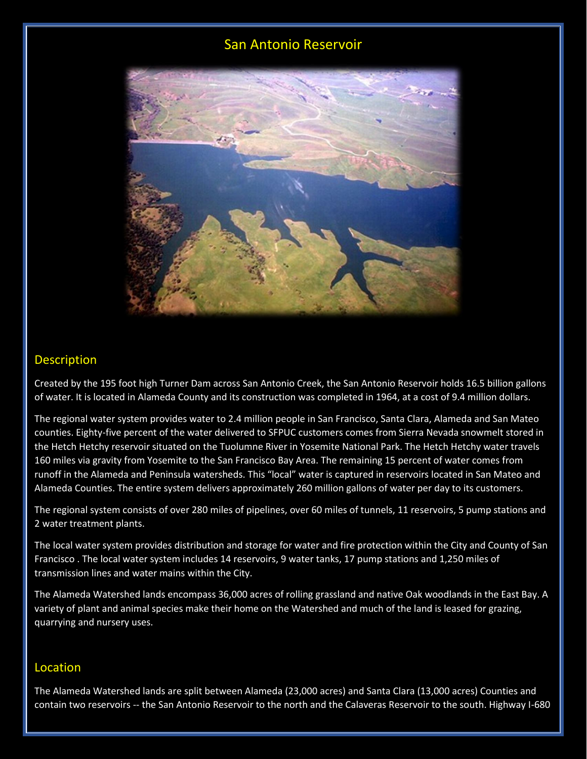# San Antonio Reservoir



#### Description

Created by the 195 foot high Turner Dam across San Antonio Creek, the San Antonio Reservoir holds 16.5 billion gallons of water. It is located in Alameda County and its construction was completed in 1964, at a cost of 9.4 million dollars.

The regional water system provides water to 2.4 million people in San Francisco, Santa Clara, Alameda and San Mateo counties. Eighty-five percent of the water delivered to SFPUC customers comes from Sierra Nevada snowmelt stored in the Hetch Hetchy reservoir situated on the Tuolumne River in Yosemite National Park. The Hetch Hetchy water travels 160 miles via gravity from Yosemite to the San Francisco Bay Area. The remaining 15 percent of water comes from runoff in the Alameda and Peninsula watersheds. This "local" water is captured in reservoirs located in San Mateo and Alameda Counties. The entire system delivers approximately 260 million gallons of water per day to its customers.

The regional system consists of over 280 miles of pipelines, over 60 miles of tunnels, 11 reservoirs, 5 pump stations and 2 water treatment plants.

The local water system provides distribution and storage for water and fire protection within the City and County of San Francisco . The local water system includes 14 reservoirs, 9 water tanks, 17 pump stations and 1,250 miles of transmission lines and water mains within the City.

The Alameda Watershed lands encompass 36,000 acres of rolling grassland and native Oak woodlands in the East Bay. A variety of plant and animal species make their home on the Watershed and much of the land is leased for grazing, quarrying and nursery uses.

#### Location

The Alameda Watershed lands are split between Alameda (23,000 acres) and Santa Clara (13,000 acres) Counties and contain two reservoirs -- the San Antonio Reservoir to the north and the Calaveras Reservoir to the south. Highway I-680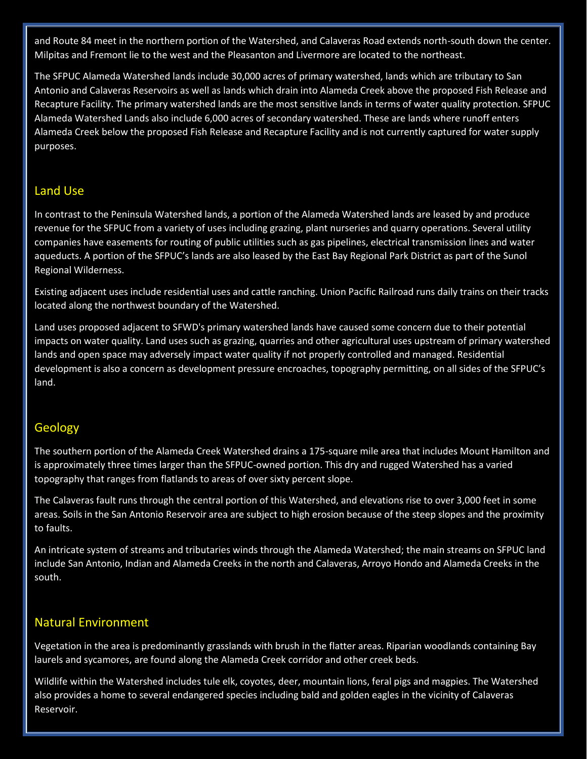and Route 84 meet in the northern portion of the Watershed, and Calaveras Road extends north-south down the center. Milpitas and Fremont lie to the west and the Pleasanton and Livermore are located to the northeast.

The SFPUC Alameda Watershed lands include 30,000 acres of primary watershed, lands which are tributary to San Antonio and Calaveras Reservoirs as well as lands which drain into Alameda Creek above the proposed Fish Release and Recapture Facility. The primary watershed lands are the most sensitive lands in terms of water quality protection. SFPUC Alameda Watershed Lands also include 6,000 acres of secondary watershed. These are lands where runoff enters Alameda Creek below the proposed Fish Release and Recapture Facility and is not currently captured for water supply purposes.

## Land Use

In contrast to the Peninsula Watershed lands, a portion of the Alameda Watershed lands are leased by and produce revenue for the SFPUC from a variety of uses including grazing, plant nurseries and quarry operations. Several utility companies have easements for routing of public utilities such as gas pipelines, electrical transmission lines and water aqueducts. A portion of the SFPUC's lands are also leased by the East Bay Regional Park District as part of the Sunol Regional Wilderness.

Existing adjacent uses include residential uses and cattle ranching. Union Pacific Railroad runs daily trains on their tracks located along the northwest boundary of the Watershed.

Land uses proposed adjacent to SFWD's primary watershed lands have caused some concern due to their potential impacts on water quality. Land uses such as grazing, quarries and other agricultural uses upstream of primary watershed lands and open space may adversely impact water quality if not properly controlled and managed. Residential development is also a concern as development pressure encroaches, topography permitting, on all sides of the SFPUC's land.

# Geology

The southern portion of the Alameda Creek Watershed drains a 175-square mile area that includes Mount Hamilton and is approximately three times larger than the SFPUC-owned portion. This dry and rugged Watershed has a varied topography that ranges from flatlands to areas of over sixty percent slope.

The Calaveras fault runs through the central portion of this Watershed, and elevations rise to over 3,000 feet in some areas. Soils in the San Antonio Reservoir area are subject to high erosion because of the steep slopes and the proximity to faults.

An intricate system of streams and tributaries winds through the Alameda Watershed; the main streams on SFPUC land include San Antonio, Indian and Alameda Creeks in the north and Calaveras, Arroyo Hondo and Alameda Creeks in the south.

## Natural Environment

Vegetation in the area is predominantly grasslands with brush in the flatter areas. Riparian woodlands containing Bay laurels and sycamores, are found along the Alameda Creek corridor and other creek beds.

Wildlife within the Watershed includes tule elk, coyotes, deer, mountain lions, feral pigs and magpies. The Watershed also provides a home to several endangered species including bald and golden eagles in the vicinity of Calaveras Reservoir.